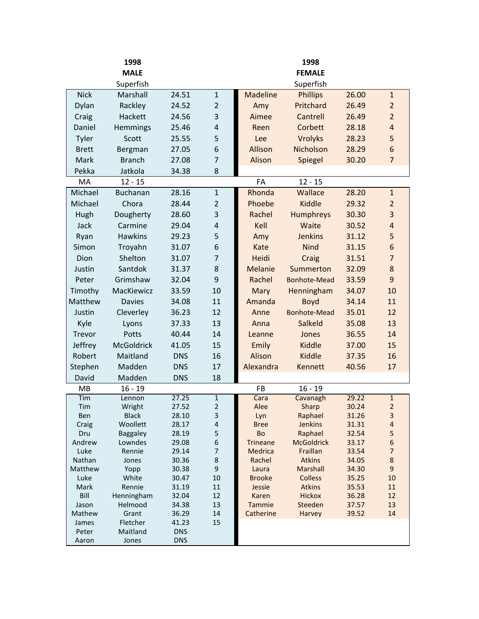|              | 1998                     |                |                         | 1998                    |                                 |                |                         |  |
|--------------|--------------------------|----------------|-------------------------|-------------------------|---------------------------------|----------------|-------------------------|--|
|              | <b>MALE</b>              |                |                         |                         | <b>FEMALE</b>                   |                |                         |  |
|              | Superfish                |                |                         |                         | Superfish                       |                |                         |  |
| <b>Nick</b>  | Marshall                 | 24.51          | $\mathbf{1}$            | <b>Madeline</b>         | <b>Phillips</b>                 | 26.00          | $\mathbf{1}$            |  |
| Dylan        | Rackley                  | 24.52          | $\overline{2}$          | Amy                     | Pritchard                       | 26.49          | $\overline{2}$          |  |
| Craig        | Hackett                  | 24.56          | 3                       | Aimee                   | Cantrell                        | 26.49          | $\overline{2}$          |  |
| Daniel       | Hemmings                 | 25.46          | $\overline{\mathbf{r}}$ | Reen                    | Corbett                         | 28.18          | $\overline{4}$          |  |
| Tyler        | Scott                    | 25.55          | 5                       | Lee                     | Vrolyks                         | 28.23          | 5                       |  |
| <b>Brett</b> | Bergman                  | 27.05          | 6                       | Allison                 | Nicholson                       | 28.29          | 6                       |  |
| Mark         | <b>Branch</b>            | 27.08          | 7                       | Alison                  | Spiegel                         | 30.20          | $\overline{7}$          |  |
| Pekka        | Jatkola                  | 34.38          | 8                       |                         |                                 |                |                         |  |
| MA           | $12 - 15$                |                |                         | FA                      | $12 - 15$                       |                |                         |  |
| Michael      | Buchanan                 | 28.16          | $\mathbf{1}$            | Rhonda                  | Wallace                         | 28.20          | $\mathbf{1}$            |  |
| Michael      | Chora                    | 28.44          | $\overline{2}$          | Phoebe                  | Kiddle                          | 29.32          | $\overline{2}$          |  |
| Hugh         | Dougherty                | 28.60          | 3                       | Rachel                  | Humphreys                       | 30.30          | 3                       |  |
| Jack         | Carmine                  | 29.04          | $\overline{\mathbf{r}}$ | Kell                    | Waite                           | 30.52          | $\overline{\mathbf{r}}$ |  |
|              | <b>Hawkins</b>           |                |                         |                         |                                 |                |                         |  |
| Ryan         |                          | 29.23          | 5                       | Amy                     | <b>Jenkins</b>                  | 31.12          | 5                       |  |
| Simon        | Troyahn                  | 31.07          | 6                       | Kate                    | <b>Nind</b>                     | 31.15          | 6                       |  |
| Dion         | Shelton                  | 31.07          | $\overline{7}$          | Heidi                   | Craig                           | 31.51          | $\overline{7}$          |  |
| Justin       | Santdok                  | 31.37          | 8                       | <b>Melanie</b>          | Summerton                       | 32.09          | 8                       |  |
| Peter        | Grimshaw                 | 32.04          | 9                       | Rachel                  | <b>Bonhote-Mead</b>             | 33.59          | 9                       |  |
| Timothy      | MacKiewicz               | 33.59          | 10                      | Mary                    | Henningham                      | 34.07          | 10                      |  |
| Matthew      | <b>Davies</b>            | 34.08          | 11                      | Amanda                  | Boyd                            | 34.14          | 11                      |  |
| Justin       | Cleverley                | 36.23          | 12                      | Anne                    | <b>Bonhote-Mead</b>             | 35.01          | 12                      |  |
| Kyle         | Lyons                    | 37.33          | 13                      | Anna                    | Salkeld                         | 35.08          | 13                      |  |
| Trevor       | Potts                    | 40.44          | 14                      | Leanne                  | Jones                           | 36.55          | 14                      |  |
| Jeffrey      | <b>McGoldrick</b>        | 41.05          | 15                      | Emily                   | Kiddle                          | 37.00          | 15                      |  |
| Robert       | Maitland                 | <b>DNS</b>     | 16                      | Alison                  | Kiddle                          | 37.35          | 16                      |  |
| Stephen      | Madden                   | <b>DNS</b>     | 17                      | Alexandra               | Kennett                         | 40.56          | 17                      |  |
| David        | Madden                   | <b>DNS</b>     | 18                      |                         |                                 |                |                         |  |
| MB           | $16 - 19$                |                |                         | <b>FB</b>               | $16 - 19$                       |                |                         |  |
| Tim          | Lennon                   | 27.25          | $\overline{1}$          | Cara                    | Cavanagh                        | 29.22          | $\overline{1}$          |  |
| Tim          | Wright                   | 27.52          | $\overline{2}$          | Alee                    | Sharp                           | 30.24          | $\overline{2}$          |  |
| Ben<br>Craig | <b>Black</b><br>Woollett | 28.10<br>28.17 | 3<br>$\sqrt{4}$         | Lyn<br><b>Bree</b>      | Raphael<br>Jenkins              | 31.26<br>31.31 | 3<br>4                  |  |
| Dru          | <b>Baggaley</b>          | 28.19          | 5                       | Bo                      | Raphael                         | 32.54          | 5                       |  |
| Andrew       | Lowndes                  | 29.08          | $\boldsymbol{6}$        | <b>Trineane</b>         | <b>McGoldrick</b>               | 33.17          | $\boldsymbol{6}$        |  |
| Luke         | Rennie                   | 29.14          | $\overline{7}$          | Medrica                 | Fraillan                        | 33.54          | $\overline{7}$          |  |
| Nathan       | Jones                    | 30.36          | 8                       | Rachel                  | <b>Atkins</b>                   | 34.05          | $\bf 8$                 |  |
| Matthew      | Yopp                     | 30.38          | 9                       | Laura                   | Marshall                        | 34.30          | 9                       |  |
| Luke<br>Mark | White<br>Rennie          | 30.47<br>31.19 | 10<br>$11\,$            | <b>Brooke</b><br>Jessie | <b>Colless</b><br><b>Atkins</b> | 35.25<br>35.53 | 10<br>11                |  |
| Bill         | Henningham               | 32.04          | 12                      | Karen                   | <b>Hickox</b>                   | 36.28          | 12                      |  |
| Jason        | Helmood                  | 34.38          | 13                      | Tammie                  | Steeden                         | 37.57          | 13                      |  |
| Mathew       | Grant                    | 36.29          | 14                      | Catherine               | Harvey                          | 39.52          | 14                      |  |
| James        | Fletcher                 | 41.23          | 15                      |                         |                                 |                |                         |  |
| Peter        | Maitland                 | <b>DNS</b>     |                         |                         |                                 |                |                         |  |
| Aaron        | Jones                    | <b>DNS</b>     |                         |                         |                                 |                |                         |  |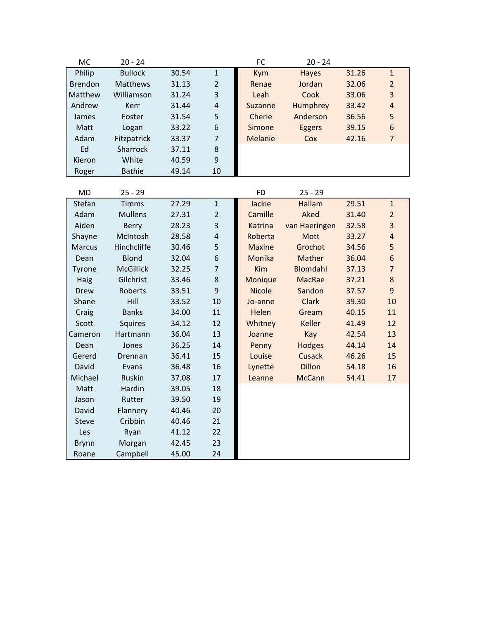| <b>MC</b>      | $20 - 24$       |       |                | FC         | $20 - 24$    |       |                |
|----------------|-----------------|-------|----------------|------------|--------------|-------|----------------|
| Philip         | <b>Bullock</b>  | 30.54 | $\mathbf{1}$   | <b>Kym</b> | <b>Hayes</b> | 31.26 | $\mathbf{1}$   |
| <b>Brendon</b> | <b>Matthews</b> | 31.13 | $\overline{2}$ | Renae      | Jordan       | 32.06 | $\overline{2}$ |
| Matthew        | Williamson      | 31.24 | 3              | Leah       | Cook         | 33.06 | 3              |
| Andrew         | Kerr            | 31.44 | $\overline{4}$ | Suzanne    | Humphrey     | 33.42 | $\overline{4}$ |
| James          | Foster          | 31.54 | 5              | Cherie     | Anderson     | 36.56 | 5              |
| Matt           | Logan           | 33.22 | 6              | Simone     | Eggers       | 39.15 | 6              |
| Adam           | Fitzpatrick     | 33.37 | $\overline{7}$ | Melanie    | Cox          | 42.16 | $\overline{7}$ |
| Ed             | <b>Sharrock</b> | 37.11 | 8              |            |              |       |                |
| Kieron         | White           | 40.59 | 9              |            |              |       |                |
| Roger          | <b>Bathie</b>   | 49.14 | 10             |            |              |       |                |
|                |                 |       |                |            |              |       |                |
| <b>MD</b>      | $25 - 29$       |       |                | FD.        | $25 - 29$    |       |                |
| Stefan         | <b>Timms</b>    | 27.29 | $\mathbf{1}$   | Jackie     | Hallam       | 29.51 | $\mathbf{1}$   |
|                |                 |       |                |            |              |       |                |

| Stefan        | <b>Timms</b>     | 27.29 | $\mathbf{1}$     | Jackie        | Hallam        | 29.51 | $\mathbf{1}$   |
|---------------|------------------|-------|------------------|---------------|---------------|-------|----------------|
| Adam          | <b>Mullens</b>   | 27.31 | $\overline{2}$   | Camille       | Aked          | 31.40 | $\overline{2}$ |
| Aiden         | <b>Berry</b>     | 28.23 | 3                | Katrina       | van Haeringen | 32.58 | $\overline{3}$ |
| Shayne        | McIntosh         | 28.58 | $\overline{4}$   | Roberta       | Mott          | 33.27 | $\overline{4}$ |
| <b>Marcus</b> | Hinchcliffe      | 30.46 | 5                | <b>Maxine</b> | Grochot       | 34.56 | 5              |
| Dean          | <b>Blond</b>     | 32.04 | $\boldsymbol{6}$ | Monika        | Mather        | 36.04 | $\sqrt{6}$     |
| Tyrone        | <b>McGillick</b> | 32.25 | $\overline{7}$   | Kim           | Blomdahl      | 37.13 | $\overline{7}$ |
| <b>Haig</b>   | Gilchrist        | 33.46 | $\bf 8$          | Monique       | MacRae        | 37.21 | 8              |
| Drew          | Roberts          | 33.51 | $\overline{9}$   | <b>Nicole</b> | Sandon        | 37.57 | 9              |
| Shane         | Hill             | 33.52 | 10               | Jo-anne       | <b>Clark</b>  | 39.30 | 10             |
| Craig         | <b>Banks</b>     | 34.00 | 11               | Helen         | Gream         | 40.15 | 11             |
| Scott         | <b>Squires</b>   | 34.12 | 12               | Whitney       | Keller        | 41.49 | 12             |
| Cameron       | Hartmann         | 36.04 | 13               | Joanne        | Kay           | 42.54 | 13             |
| Dean          | Jones            | 36.25 | 14               | Penny         | Hodges        | 44.14 | 14             |
| Gererd        | Drennan          | 36.41 | 15               | Louise        | Cusack        | 46.26 | 15             |
| David         | Evans            | 36.48 | 16               | Lynette       | <b>Dillon</b> | 54.18 | 16             |
| Michael       | Ruskin           | 37.08 | 17               | Leanne        | <b>McCann</b> | 54.41 | 17             |
| Matt          | Hardin           | 39.05 | 18               |               |               |       |                |
| Jason         | Rutter           | 39.50 | 19               |               |               |       |                |
| David         | Flannery         | 40.46 | 20               |               |               |       |                |
| <b>Steve</b>  | Cribbin          | 40.46 | 21               |               |               |       |                |
| Les           | Ryan             | 41.12 | 22               |               |               |       |                |
| <b>Brynn</b>  | Morgan           | 42.45 | 23               |               |               |       |                |
| Roane         | Campbell         | 45.00 | 24               |               |               |       |                |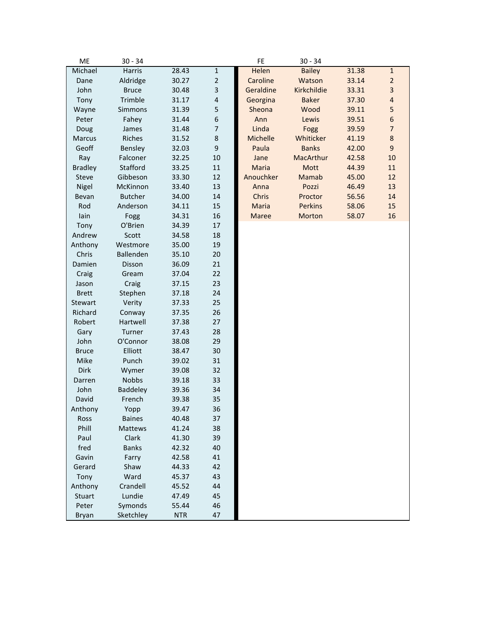| ME             | $30 - 34$      |            |                         | FE           | $30 - 34$      |       |                  |
|----------------|----------------|------------|-------------------------|--------------|----------------|-------|------------------|
| Michael        | Harris         | 28.43      | $\mathbf 1$             | Helen        | <b>Bailey</b>  | 31.38 | $\mathbf{1}$     |
| Dane           | Aldridge       | 30.27      | $\overline{2}$          | Caroline     | Watson         | 33.14 | $\overline{2}$   |
| John           | <b>Bruce</b>   | 30.48      | 3                       | Geraldine    | Kirkchildie    | 33.31 | 3                |
| Tony           | Trimble        | 31.17      | $\overline{\mathbf{4}}$ | Georgina     | <b>Baker</b>   | 37.30 | $\overline{4}$   |
| Wayne          | Simmons        | 31.39      | 5                       | Sheona       | Wood           | 39.11 | 5                |
| Peter          | Fahey          | 31.44      | 6                       | Ann          | Lewis          | 39.51 | $\boldsymbol{6}$ |
| Doug           | James          | 31.48      | $\overline{7}$          | Linda        | Fogg           | 39.59 | $\overline{7}$   |
| <b>Marcus</b>  | Riches         | 31.52      | 8                       | Michelle     | Whiticker      | 41.19 | 8                |
| Geoff          | Bensley        | 32.03      | 9                       | Paula        | <b>Banks</b>   | 42.00 | 9                |
| Ray            | Falconer       | 32.25      | 10                      | Jane         | MacArthur      | 42.58 | 10               |
| <b>Bradley</b> | Stafford       | 33.25      | 11                      | Maria        | Mott           | 44.39 | 11               |
| Steve          | Gibbeson       | 33.30      | 12                      | Anouchker    | <b>Mamab</b>   | 45.00 | 12               |
| Nigel          | McKinnon       | 33.40      | 13                      | Anna         | Pozzi          | 46.49 | 13               |
| Bevan          | <b>Butcher</b> | 34.00      | 14                      | Chris        | Proctor        | 56.56 | 14               |
| Rod            | Anderson       | 34.11      | 15                      | Maria        | <b>Perkins</b> | 58.06 | 15               |
| lain           | Fogg           | 34.31      | 16                      | <b>Maree</b> | Morton         | 58.07 | 16               |
| Tony           | O'Brien        | 34.39      | 17                      |              |                |       |                  |
| Andrew         | Scott          | 34.58      | 18                      |              |                |       |                  |
| Anthony        | Westmore       | 35.00      | 19                      |              |                |       |                  |
| Chris          | Ballenden      | 35.10      | 20                      |              |                |       |                  |
| Damien         | Disson         | 36.09      | 21                      |              |                |       |                  |
| Craig          | Gream          | 37.04      | 22                      |              |                |       |                  |
| Jason          | Craig          | 37.15      | 23                      |              |                |       |                  |
| <b>Brett</b>   | Stephen        | 37.18      | 24                      |              |                |       |                  |
| Stewart        | Verity         | 37.33      | 25                      |              |                |       |                  |
| Richard        | Conway         | 37.35      | 26                      |              |                |       |                  |
| Robert         | Hartwell       | 37.38      | 27                      |              |                |       |                  |
| Gary           | Turner         | 37.43      | 28                      |              |                |       |                  |
| John           | O'Connor       | 38.08      | 29                      |              |                |       |                  |
| <b>Bruce</b>   | Elliott        | 38.47      | 30                      |              |                |       |                  |
| Mike           | Punch          | 39.02      | 31                      |              |                |       |                  |
| Dirk           | Wymer          | 39.08      | 32                      |              |                |       |                  |
| Darren         | Nobbs          | 39.18      | 33                      |              |                |       |                  |
| John           | Baddeley       | 39.36      | 34                      |              |                |       |                  |
| David          | French         | 39.38      | 35                      |              |                |       |                  |
| Anthony        | Yopp           | 39.47      | 36                      |              |                |       |                  |
| Ross           | <b>Baines</b>  | 40.48      | 37                      |              |                |       |                  |
| Phill          | <b>Mattews</b> | 41.24      | 38                      |              |                |       |                  |
| Paul           | Clark          | 41.30      | 39                      |              |                |       |                  |
| fred           | <b>Banks</b>   | 42.32      | 40                      |              |                |       |                  |
| Gavin          | Farry          | 42.58      | 41                      |              |                |       |                  |
| Gerard         | Shaw           | 44.33      | 42                      |              |                |       |                  |
| Tony           | Ward           | 45.37      | 43                      |              |                |       |                  |
| Anthony        | Crandell       | 45.52      | 44                      |              |                |       |                  |
| <b>Stuart</b>  | Lundie         | 47.49      | 45                      |              |                |       |                  |
| Peter          | Symonds        | 55.44      | 46                      |              |                |       |                  |
| Bryan          | Sketchley      | <b>NTR</b> | 47                      |              |                |       |                  |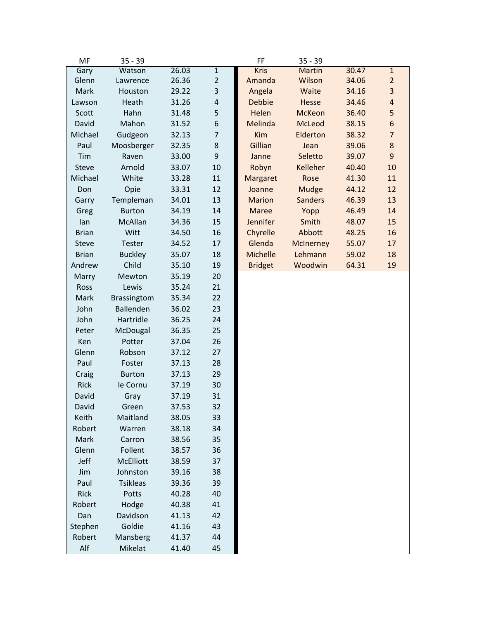| MF           | $35 - 39$          |       |                         | FF              | $35 - 39$       |       |                |
|--------------|--------------------|-------|-------------------------|-----------------|-----------------|-------|----------------|
| Gary         | Watson             | 26.03 | $\mathbf 1$             | <b>Kris</b>     | Martin          | 30.47 | $\mathbf{1}$   |
| Glenn        | Lawrence           | 26.36 | $\overline{2}$          | Amanda          | Wilson          | 34.06 | $\overline{2}$ |
| Mark         | Houston            | 29.22 | 3                       | Angela          | Waite           | 34.16 | 3              |
| Lawson       | Heath              | 31.26 | $\overline{\mathbf{r}}$ | <b>Debbie</b>   | Hesse           | 34.46 | $\overline{a}$ |
| Scott        | Hahn               | 31.48 | 5                       | Helen           | McKeon          | 36.40 | 5              |
| David        | Mahon              | 31.52 | 6                       | Melinda         | McLeod          | 38.15 | 6              |
| Michael      | Gudgeon            | 32.13 | $\overline{7}$          | <b>Kim</b>      | Elderton        | 38.32 | $\overline{7}$ |
| Paul         | Moosberger         | 32.35 | $\,8\,$                 | Gillian         | Jean            | 39.06 | 8              |
| Tim          | Raven              | 33.00 | 9                       | Janne           | Seletto         | 39.07 | 9              |
| <b>Steve</b> | Arnold             | 33.07 | 10                      | Robyn           | <b>Kelleher</b> | 40.40 | 10             |
| Michael      | White              | 33.28 | 11                      | Margaret        | Rose            | 41.30 | 11             |
| Don          | Opie               | 33.31 | 12                      | Joanne          | Mudge           | 44.12 | 12             |
| Garry        | Templeman          | 34.01 | 13                      | <b>Marion</b>   | <b>Sanders</b>  | 46.39 | 13             |
| Greg         | <b>Burton</b>      | 34.19 | 14                      | <b>Maree</b>    | Yopp            | 46.49 | 14             |
| lan          | McAllan            | 34.36 | 15                      | <b>Jennifer</b> | Smith           | 48.07 | 15             |
| <b>Brian</b> | Witt               | 34.50 | 16                      | Chyrelle        | Abbott          | 48.25 | 16             |
| Steve        | Tester             | 34.52 | 17                      | Glenda          | McInerney       | 55.07 | 17             |
| <b>Brian</b> | <b>Buckley</b>     | 35.07 | 18                      | Michelle        | Lehmann         | 59.02 | 18             |
| Andrew       | Child              | 35.10 | 19                      | <b>Bridget</b>  | Woodwin         | 64.31 | 19             |
| Marry        | Mewton             | 35.19 | 20                      |                 |                 |       |                |
| Ross         | Lewis              | 35.24 | 21                      |                 |                 |       |                |
| Mark         | <b>Brassingtom</b> | 35.34 | 22                      |                 |                 |       |                |
| John         | Ballenden          | 36.02 | 23                      |                 |                 |       |                |
| John         | Hartridle          | 36.25 | 24                      |                 |                 |       |                |
| Peter        | McDougal           | 36.35 | 25                      |                 |                 |       |                |
| Ken          | Potter             | 37.04 | 26                      |                 |                 |       |                |
| Glenn        | Robson             | 37.12 | 27                      |                 |                 |       |                |
| Paul         | Foster             | 37.13 | 28                      |                 |                 |       |                |
| Craig        | <b>Burton</b>      | 37.13 | 29                      |                 |                 |       |                |
| Rick         | le Cornu           | 37.19 | 30                      |                 |                 |       |                |
| David        | Gray               | 37.19 | 31                      |                 |                 |       |                |
| David        | Green              | 37.53 | 32                      |                 |                 |       |                |
| Keith        | Maitland           | 38.05 | 33                      |                 |                 |       |                |
| Robert       | Warren             | 38.18 | 34                      |                 |                 |       |                |
| Mark         | Carron             | 38.56 | 35                      |                 |                 |       |                |
| Glenn        | Follent            | 38.57 | 36                      |                 |                 |       |                |
| Jeff         | <b>McElliott</b>   | 38.59 | 37                      |                 |                 |       |                |
| Jim          | Johnston           | 39.16 | 38                      |                 |                 |       |                |
| Paul         | <b>Tsikleas</b>    | 39.36 | 39                      |                 |                 |       |                |
| Rick         | Potts              | 40.28 | 40                      |                 |                 |       |                |
| Robert       | Hodge              | 40.38 | 41                      |                 |                 |       |                |
| Dan          | Davidson           | 41.13 | 42                      |                 |                 |       |                |
| Stephen      | Goldie             | 41.16 | 43                      |                 |                 |       |                |
| Robert       | Mansberg           | 41.37 | 44                      |                 |                 |       |                |
| Alf          | Mikelat            | 41.40 | 45                      |                 |                 |       |                |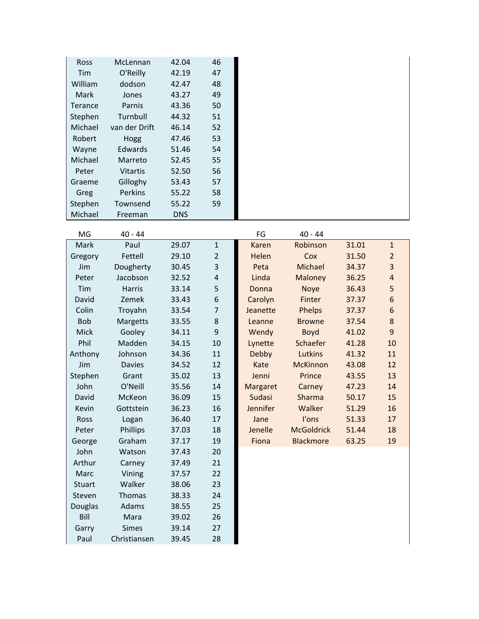| <b>Ross</b>   | McLennan        | 42.04      | 46 |
|---------------|-----------------|------------|----|
| Tim           | O'Reilly        | 42.19      | 47 |
| William       | dodson          | 42.47      | 48 |
| Mark          | Jones           | 43.27      | 49 |
| Terance       | Parnis          | 43.36      | 50 |
| Stephen       | Turnbull        | 44.32      | 51 |
| Michael       | van der Drift   | 46.14      | 52 |
| <b>Robert</b> | Hogg            | 47.46      | 53 |
| Wayne         | Edwards         | 51.46      | 54 |
| Michael       | Marreto         | 52.45      | 55 |
| Peter         | <b>Vitartis</b> | 52.50      | 56 |
| Graeme        | Gilloghy        | 53.43      | 57 |
| Greg          | Perkins         | 55.22      | 58 |
| Stephen       | Townsend        | 55.22      | 59 |
| Michael       | Freeman         | <b>DNS</b> |    |

| MG   | - 44<br>40 |        |       | 44<br>40 |
|------|------------|--------|-------|----------|
| Mark | Paul       | 2. J.V | Karen | Robinso  |

|  | 40 - |
|--|------|
|--|------|

| <b>IVIAI</b> N | r aur           | 29.UT | ᆠ              | <b>NGLELL</b>   | <b>INUDILISUIT</b> | JT.AT | <b>T</b>         |
|----------------|-----------------|-------|----------------|-----------------|--------------------|-------|------------------|
| Gregory        | Fettell         | 29.10 | $\overline{2}$ | Helen           | Cox                | 31.50 | $\overline{2}$   |
| Jim            | Dougherty       | 30.45 | 3              | Peta            | Michael            | 34.37 | $\overline{3}$   |
| Peter          | Jacobson        | 32.52 | $\pmb{4}$      | Linda           | Maloney            | 36.25 | $\overline{4}$   |
| Tim            | Harris          | 33.14 | 5              | Donna           | Noye               | 36.43 | 5                |
| David          | Zemek           | 33.43 | 6              | Carolyn         | Finter             | 37.37 | $\boldsymbol{6}$ |
| Colin          | Troyahn         | 33.54 | 7              | Jeanette        | Phelps             | 37.37 | $\boldsymbol{6}$ |
| Bob            | <b>Margetts</b> | 33.55 | 8              | Leanne          | <b>Browne</b>      | 37.54 | $\bf 8$          |
| Mick           | Gooley          | 34.11 | 9              | Wendy           | <b>Boyd</b>        | 41.02 | $\boldsymbol{9}$ |
| Phil           | Madden          | 34.15 | 10             | Lynette         | Schaefer           | 41.28 | 10               |
| Anthony        | Johnson         | 34.36 | 11             | Debby           | Lutkins            | 41.32 | 11               |
| Jim            | <b>Davies</b>   | 34.52 | 12             | Kate            | <b>McKinnon</b>    | 43.08 | 12               |
| Stephen        | Grant           | 35.02 | 13             | Jenni           | Prince             | 43.55 | 13               |
| John           | O'Neill         | 35.56 | 14             | Margaret        | Carney             | 47.23 | 14               |
| David          | McKeon          | 36.09 | 15             | <b>Sudasi</b>   | Sharma             | 50.17 | 15               |
| Kevin          | Gottstein       | 36.23 | 16             | <b>Jennifer</b> | Walker             | 51.29 | 16               |
| Ross           | Logan           | 36.40 | 17             | Jane            | l'ons              | 51.33 | 17               |
| Peter          | Phillips        | 37.03 | 18             | Jenelle         | <b>McGoldrick</b>  | 51.44 | 18               |
| George         | Graham          | 37.17 | 19             | Fiona           | <b>Blackmore</b>   | 63.25 | 19               |
| John           | Watson          | 37.43 | 20             |                 |                    |       |                  |
| Arthur         | Carney          | 37.49 | 21             |                 |                    |       |                  |
| Marc           | Vining          | 37.57 | 22             |                 |                    |       |                  |
| <b>Stuart</b>  | Walker          | 38.06 | 23             |                 |                    |       |                  |
| Steven         | Thomas          | 38.33 | 24             |                 |                    |       |                  |
| <b>Douglas</b> | Adams           | 38.55 | 25             |                 |                    |       |                  |
| Bill           | Mara            | 39.02 | 26             |                 |                    |       |                  |
| Garry          | <b>Simes</b>    | 39.14 | 27             |                 |                    |       |                  |
| Paul           | Christiansen    | 39.45 | 28             |                 |                    |       |                  |

| <b>IVIG</b> | 40 - 44         |       |                | гu              | 40 - 44           |       |                  |
|-------------|-----------------|-------|----------------|-----------------|-------------------|-------|------------------|
| Mark        | Paul            | 29.07 | $\mathbf{1}$   | Karen           | Robinson          | 31.01 | $\mathbf{1}$     |
| iregory     | Fettell         | 29.10 | $\overline{2}$ | Helen           | Cox               | 31.50 | $\overline{2}$   |
| Jim         | Dougherty       | 30.45 | 3              | Peta            | Michael           | 34.37 | 3                |
| Peter       | Jacobson        | 32.52 | $\pmb{4}$      | Linda           | Maloney           | 36.25 | $\sqrt{4}$       |
| Tim         | <b>Harris</b>   | 33.14 | 5              | Donna           | <b>Noye</b>       | 36.43 | 5                |
| David       | Zemek           | 33.43 | 6              | Carolyn         | Finter            | 37.37 | $\boldsymbol{6}$ |
| Colin       | Troyahn         | 33.54 | $\overline{7}$ | Jeanette        | Phelps            | 37.37 | $\boldsymbol{6}$ |
| <b>Bob</b>  | <b>Margetts</b> | 33.55 | 8              | Leanne          | <b>Browne</b>     | 37.54 | $\bf 8$          |
| Mick        | Gooley          | 34.11 | 9              | Wendy           | <b>Boyd</b>       | 41.02 | 9                |
| Phil        | Madden          | 34.15 | 10             | Lynette         | Schaefer          | 41.28 | 10               |
| nthony      | Johnson         | 34.36 | 11             | Debby           | Lutkins           | 41.32 | 11               |
| Jim         | <b>Davies</b>   | 34.52 | 12             | Kate            | <b>McKinnon</b>   | 43.08 | 12               |
| tephen      | Grant           | 35.02 | 13             | Jenni           | Prince            | 43.55 | 13               |
| John        | O'Neill         | 35.56 | 14             | Margaret        | Carney            | 47.23 | 14               |
| David       | McKeon          | 36.09 | 15             | Sudasi          | Sharma            | 50.17 | 15               |
| Kevin       | Gottstein       | 36.23 | 16             | <b>Jennifer</b> | Walker            | 51.29 | 16               |
| Ross        | Logan           | 36.40 | 17             | Jane            | l'ons             | 51.33 | 17               |
| Peter       | Phillips        | 37.03 | 18             | Jenelle         | <b>McGoldrick</b> | 51.44 | 18               |
| George      | Graham          | 37.17 | 19             | Fiona           | <b>Blackmore</b>  | 63.25 | 19               |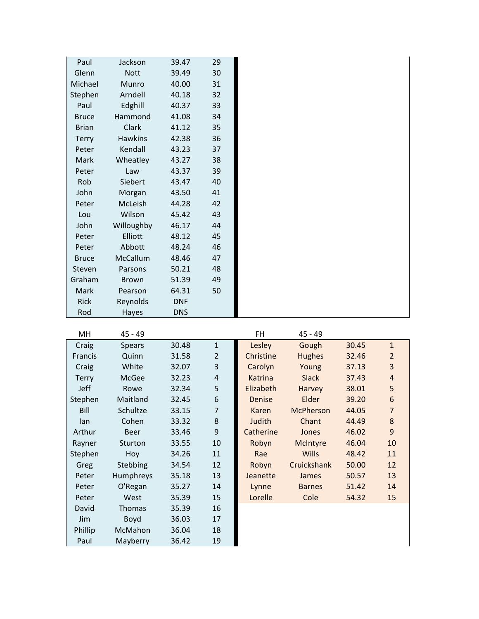| Paul         | Jackson        | 39.47      | 29 |  |
|--------------|----------------|------------|----|--|
| Glenn        | <b>Nott</b>    | 39.49      | 30 |  |
| Michael      | Munro          | 40.00      | 31 |  |
| Stephen      | Arndell        | 40.18      | 32 |  |
| Paul         | Edghill        | 40.37      | 33 |  |
| <b>Bruce</b> | Hammond        | 41.08      | 34 |  |
| <b>Brian</b> | Clark          | 41.12      | 35 |  |
| <b>Terry</b> | <b>Hawkins</b> | 42.38      | 36 |  |
| Peter        | Kendall        | 43.23      | 37 |  |
| Mark         | Wheatley       | 43.27      | 38 |  |
| Peter        | Law            | 43.37      | 39 |  |
| Rob          | Siebert        | 43.47      | 40 |  |
| John         | Morgan         | 43.50      | 41 |  |
| Peter        | McLeish        | 44.28      | 42 |  |
| Lou          | Wilson         | 45.42      | 43 |  |
| John         | Willoughby     | 46.17      | 44 |  |
| Peter        | Elliott        | 48.12      | 45 |  |
| Peter        | Abbott         | 48.24      | 46 |  |
| <b>Bruce</b> | McCallum       | 48.46      | 47 |  |
| Steven       | Parsons        | 50.21      | 48 |  |
| Graham       | <b>Brown</b>   | 51.39      | 49 |  |
| Mark         | Pearson        | 64.31      | 50 |  |
| <b>Rick</b>  | Reynolds       | <b>DNF</b> |    |  |
| Rod          | Hayes          | <b>DNS</b> |    |  |

| MН           | 45 - 49       |       |                | FH.           | $45 - 49$        |       |                |
|--------------|---------------|-------|----------------|---------------|------------------|-------|----------------|
| Craig        | <b>Spears</b> | 30.48 | $\mathbf{1}$   | Lesley        | Gough            | 30.45 | $\mathbf{1}$   |
| Francis      | Quinn         | 31.58 | $\overline{2}$ | Christine     | <b>Hughes</b>    | 32.46 | $\overline{2}$ |
| Craig        | White         | 32.07 | 3              | Carolyn       | Young            | 37.13 | 3              |
| <b>Terry</b> | McGee         | 32.23 | $\overline{4}$ | Katrina       | <b>Slack</b>     | 37.43 | $\overline{4}$ |
| Jeff         | Rowe          | 32.34 | 5              | Elizabeth     | Harvey           | 38.01 | 5              |
| Stephen      | Maitland      | 32.45 | 6              | <b>Denise</b> | Elder            | 39.20 | 6              |
| Bill         | Schultze      | 33.15 | $\overline{7}$ | Karen         | <b>McPherson</b> | 44.05 | $\overline{7}$ |
| lan          | Cohen         | 33.32 | 8              | Judith        | Chant            | 44.49 | 8              |
| Arthur       | <b>Beer</b>   | 33.46 | 9              | Catherine     | Jones            | 46.02 | 9              |
| Rayner       | Sturton       | 33.55 | 10             | Robyn         | McIntyre         | 46.04 | 10             |
| Stephen      | Hoy           | 34.26 | 11             | Rae           | <b>Wills</b>     | 48.42 | 11             |
| Greg         | Stebbing      | 34.54 | 12             | Robyn         | Cruickshank      | 50.00 | 12             |
| Peter        | Humphreys     | 35.18 | 13             | Jeanette      | James            | 50.57 | 13             |
| Peter        | O'Regan       | 35.27 | 14             | Lynne         | <b>Barnes</b>    | 51.42 | 14             |
| Peter        | West          | 35.39 | 15             | Lorelle       | Cole             | 54.32 | 15             |
| David        | <b>Thomas</b> | 35.39 | 16             |               |                  |       |                |
| Jim          | Boyd          | 36.03 | 17             |               |                  |       |                |
| Phillip      | McMahon       | 36.04 | 18             |               |                  |       |                |
| Paul         | Mayberry      | 36.42 | 19             |               |                  |       |                |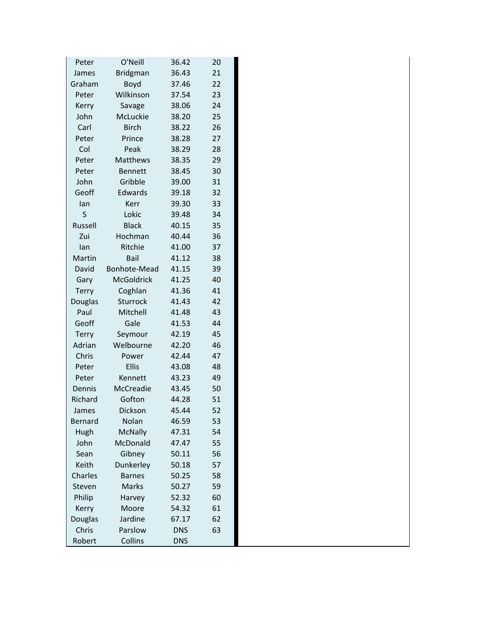| Peter        | O'Neill           | 36.42      | 20 |
|--------------|-------------------|------------|----|
| James        | <b>Bridgman</b>   | 36.43      | 21 |
| Graham       | Boyd              | 37.46      | 22 |
| Peter        | Wilkinson         | 37.54      | 23 |
| Kerry        | Savage            | 38.06      | 24 |
| John         | McLuckie          | 38.20      | 25 |
| Carl         | <b>Birch</b>      | 38.22      | 26 |
| Peter        | Prince            | 38.28      | 27 |
| Col          | Peak              | 38.29      | 28 |
| Peter        | Matthews          | 38.35      | 29 |
| Peter        | <b>Bennett</b>    | 38.45      | 30 |
| John         | Gribble           | 39.00      | 31 |
| Geoff        | Edwards           | 39.18      | 32 |
| lan          | Kerr              | 39.30      | 33 |
| S            | Lokic             | 39.48      | 34 |
| Russell      | <b>Black</b>      | 40.15      | 35 |
| Zui          | Hochman           | 40.44      | 36 |
| lan          | Ritchie           | 41.00      | 37 |
| Martin       | Bail              | 41.12      | 38 |
| David        | Bonhote-Mead      | 41.15      | 39 |
| Gary         | <b>McGoldrick</b> | 41.25      | 40 |
| <b>Terry</b> | Coghlan           | 41.36      | 41 |
| Douglas      | Sturrock          | 41.43      | 42 |
| Paul         | Mitchell          | 41.48      | 43 |
| Geoff        | Gale              | 41.53      | 44 |
| <b>Terry</b> | Seymour           | 42.19      | 45 |
| Adrian       | Welbourne         | 42.20      | 46 |
| Chris        | Power             | 42.44      | 47 |
| Peter        | <b>Ellis</b>      | 43.08      | 48 |
| Peter        | Kennett           | 43.23      | 49 |
| Dennis       | McCreadie         | 43.45      | 50 |
| Richard      | Gofton            | 44.28      | 51 |
| James        | Dickson           | 45.44      | 52 |
| Bernard      | Nolan             | 46.59      | 53 |
| Hugh         | <b>McNally</b>    | 47.31      | 54 |
| John         | McDonald          | 47.47      | 55 |
| Sean         | Gibney            | 50.11      | 56 |
| Keith        | Dunkerley         | 50.18      | 57 |
| Charles      | <b>Barnes</b>     | 50.25      | 58 |
| Steven       | Marks             | 50.27      | 59 |
| Philip       | Harvey            | 52.32      | 60 |
| Kerry        | Moore             | 54.32      | 61 |
| Douglas      | Jardine           | 67.17      | 62 |
| Chris        | Parslow           | <b>DNS</b> | 63 |
| Robert       | Collins           | <b>DNS</b> |    |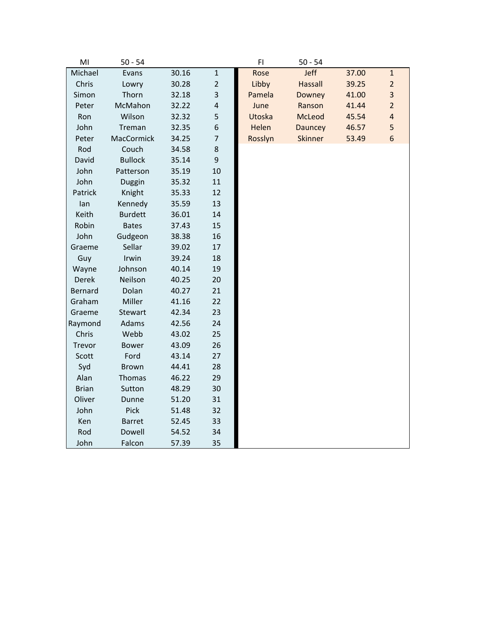| M <sub>l</sub> | $50 - 54$         |       |                         | F1      | $50 - 54$      |       |                         |
|----------------|-------------------|-------|-------------------------|---------|----------------|-------|-------------------------|
| Michael        | Evans             | 30.16 | $\mathbf{1}$            | Rose    | Jeff           | 37.00 | $\mathbf{1}$            |
| Chris          | Lowry             | 30.28 | $\overline{2}$          | Libby   | <b>Hassall</b> | 39.25 | $\overline{2}$          |
| Simon          | Thorn             | 32.18 | 3                       | Pamela  | Downey         | 41.00 | 3                       |
| Peter          | McMahon           | 32.22 | $\overline{\mathbf{r}}$ | June    | Ranson         | 41.44 | $\overline{2}$          |
| Ron            | Wilson            | 32.32 | 5                       | Utoska  | McLeod         | 45.54 | $\overline{\mathbf{4}}$ |
| John           | Treman            | 32.35 | 6                       | Helen   | Dauncey        | 46.57 | 5                       |
| Peter          | <b>MacCormick</b> | 34.25 | $\overline{7}$          | Rosslyn | <b>Skinner</b> | 53.49 | 6                       |
| Rod            | Couch             | 34.58 | 8                       |         |                |       |                         |
| David          | <b>Bullock</b>    | 35.14 | 9                       |         |                |       |                         |
| John           | Patterson         | 35.19 | 10                      |         |                |       |                         |
| John           | Duggin            | 35.32 | 11                      |         |                |       |                         |
| Patrick        | Knight            | 35.33 | 12                      |         |                |       |                         |
| lan            | Kennedy           | 35.59 | 13                      |         |                |       |                         |
| Keith          | <b>Burdett</b>    | 36.01 | 14                      |         |                |       |                         |
| Robin          | <b>Bates</b>      | 37.43 | 15                      |         |                |       |                         |
| John           | Gudgeon           | 38.38 | 16                      |         |                |       |                         |
| Graeme         | Sellar            | 39.02 | 17                      |         |                |       |                         |
| Guy            | Irwin             | 39.24 | 18                      |         |                |       |                         |
| Wayne          | Johnson           | 40.14 | 19                      |         |                |       |                         |
| Derek          | Neilson           | 40.25 | 20                      |         |                |       |                         |
| Bernard        | Dolan             | 40.27 | 21                      |         |                |       |                         |
| Graham         | Miller            | 41.16 | 22                      |         |                |       |                         |
| Graeme         | Stewart           | 42.34 | 23                      |         |                |       |                         |
| Raymond        | Adams             | 42.56 | 24                      |         |                |       |                         |
| Chris          | Webb              | 43.02 | 25                      |         |                |       |                         |
| Trevor         | <b>Bower</b>      | 43.09 | 26                      |         |                |       |                         |
| Scott          | Ford              | 43.14 | 27                      |         |                |       |                         |
| Syd            | <b>Brown</b>      | 44.41 | 28                      |         |                |       |                         |
| Alan           | Thomas            | 46.22 | 29                      |         |                |       |                         |
| <b>Brian</b>   | Sutton            | 48.29 | 30                      |         |                |       |                         |
| Oliver         | Dunne             | 51.20 | 31                      |         |                |       |                         |
| John           | Pick              | 51.48 | 32                      |         |                |       |                         |
| Ken            | <b>Barret</b>     | 52.45 | 33                      |         |                |       |                         |
| Rod            | Dowell            | 54.52 | 34                      |         |                |       |                         |
| John           | Falcon            | 57.39 | 35                      |         |                |       |                         |